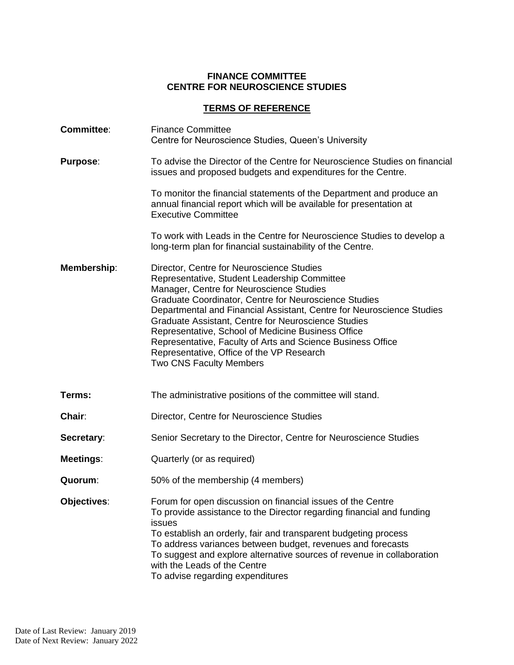## **FINANCE COMMITTEE CENTRE FOR NEUROSCIENCE STUDIES**

## **TERMS OF REFERENCE**

| <b>Committee:</b> | <b>Finance Committee</b><br>Centre for Neuroscience Studies, Queen's University                                                                                                                                                                                                                                                                                                                                                                                                                                                    |
|-------------------|------------------------------------------------------------------------------------------------------------------------------------------------------------------------------------------------------------------------------------------------------------------------------------------------------------------------------------------------------------------------------------------------------------------------------------------------------------------------------------------------------------------------------------|
| <b>Purpose:</b>   | To advise the Director of the Centre for Neuroscience Studies on financial<br>issues and proposed budgets and expenditures for the Centre.                                                                                                                                                                                                                                                                                                                                                                                         |
|                   | To monitor the financial statements of the Department and produce an<br>annual financial report which will be available for presentation at<br><b>Executive Committee</b>                                                                                                                                                                                                                                                                                                                                                          |
|                   | To work with Leads in the Centre for Neuroscience Studies to develop a<br>long-term plan for financial sustainability of the Centre.                                                                                                                                                                                                                                                                                                                                                                                               |
| Membership:       | Director, Centre for Neuroscience Studies<br>Representative, Student Leadership Committee<br>Manager, Centre for Neuroscience Studies<br>Graduate Coordinator, Centre for Neuroscience Studies<br>Departmental and Financial Assistant, Centre for Neuroscience Studies<br>Graduate Assistant, Centre for Neuroscience Studies<br>Representative, School of Medicine Business Office<br>Representative, Faculty of Arts and Science Business Office<br>Representative, Office of the VP Research<br><b>Two CNS Faculty Members</b> |
| Terms:            | The administrative positions of the committee will stand.                                                                                                                                                                                                                                                                                                                                                                                                                                                                          |
| Chair:            | Director, Centre for Neuroscience Studies                                                                                                                                                                                                                                                                                                                                                                                                                                                                                          |
| Secretary:        | Senior Secretary to the Director, Centre for Neuroscience Studies                                                                                                                                                                                                                                                                                                                                                                                                                                                                  |
| Meetings:         | Quarterly (or as required)                                                                                                                                                                                                                                                                                                                                                                                                                                                                                                         |
| Quorum:           | 50% of the membership (4 members)                                                                                                                                                                                                                                                                                                                                                                                                                                                                                                  |
| Objectives:       | Forum for open discussion on financial issues of the Centre<br>To provide assistance to the Director regarding financial and funding<br>issues<br>To establish an orderly, fair and transparent budgeting process<br>To address variances between budget, revenues and forecasts<br>To suggest and explore alternative sources of revenue in collaboration<br>with the Leads of the Centre<br>To advise regarding expenditures                                                                                                     |